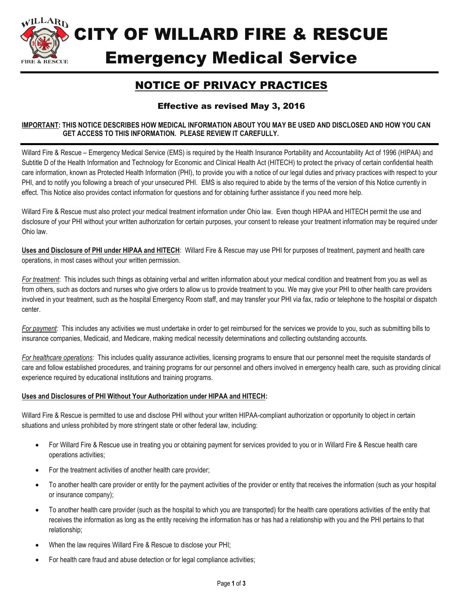

CITY OF WILLARD FIRE & RESCUE Emergency Medical Service

## NOTICE OF PRIVACY PRACTICES

## Effective as revised May 3, 2016

## **IMPORTANT: THIS NOTICE DESCRIBES HOW MEDICAL INFORMATION ABOUT YOU MAY BE USED AND DISCLOSED AND HOW YOU CAN GET ACCESS TO THIS INFORMATION. PLEASE REVIEW IT CAREFULLY.**

Willard Fire & Rescue – Emergency Medical Service (EMS) is required by the Health Insurance Portability and Accountability Act of 1996 (HIPAA) and Subtitle D of the Health Information and Technology for Economic and Clinical Health Act (HITECH) to protect the privacy of certain confidential health care information, known as Protected Health Information (PHI), to provide you with a notice of our legal duties and privacy practices with respect to your PHI, and to notify you following a breach of your unsecured PHI. EMS is also required to abide by the terms of the version of this Notice currently in effect. This Notice also provides contact information for questions and for obtaining further assistance if you need more help.

Willard Fire & Rescue must also protect your medical treatment information under Ohio law. Even though HIPAA and HITECH permit the use and disclosure of your PHI without your written authorization for certain purposes, your consent to release your treatment information may be required under Ohio law.

**Uses and Disclosure of PHI under HIPAA and HITECH**: Willard Fire & Rescue may use PHI for purposes of treatment, payment and health care operations, in most cases without your written permission.

*For treatment*: This includes such things as obtaining verbal and written information about your medical condition and treatment from you as well as from others, such as doctors and nurses who give orders to allow us to provide treatment to you. We may give your PHI to other health care providers involved in your treatment, such as the hospital Emergency Room staff, and may transfer your PHI via fax, radio or telephone to the hospital or dispatch center.

*For payment:* This includes any activities we must undertake in order to get reimbursed for the services we provide to you, such as submitting bills to insurance companies, Medicaid, and Medicare, making medical necessity determinations and collecting outstanding accounts.

*For healthcare operations:* This includes quality assurance activities, licensing programs to ensure that our personnel meet the requisite standards of care and follow established procedures, and training programs for our personnel and others involved in emergency health care, such as providing clinical experience required by educational institutions and training programs.

## **Uses and Disclosures of PHI Without Your Authorization under HIPAA and HITECH:**

Willard Fire & Rescue is permitted to use and disclose PHI without your written HIPAA-compliant authorization or opportunity to object in certain situations and unless prohibited by more stringent state or other federal law, including:

- For Willard Fire & Rescue use in treating you or obtaining payment for services provided to you or in Willard Fire & Rescue health care operations activities;
- For the treatment activities of another health care provider;
- To another health care provider or entity for the payment activities of the provider or entity that receives the information (such as your hospital or insurance company);
- To another health care provider (such as the hospital to which you are transported) for the health care operations activities of the entity that receives the information as long as the entity receiving the information has or has had a relationship with you and the PHI pertains to that relationship;
- When the law requires Willard Fire & Rescue to disclose your PHI;
- For health care fraud and abuse detection or for legal compliance activities;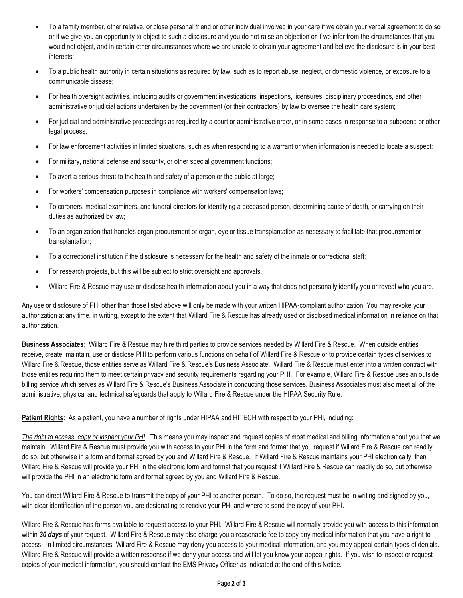- To a family member, other relative, or close personal friend or other individual involved in your care if we obtain your verbal agreement to do so or if we give you an opportunity to object to such a disclosure and you do not raise an objection or if we infer from the circumstances that you would not object, and in certain other circumstances where we are unable to obtain your agreement and believe the disclosure is in your best interests;
- To a public health authority in certain situations as required by law, such as to report abuse, neglect, or domestic violence, or exposure to a communicable disease;
- For health oversight activities, including audits or government investigations, inspections, licensures, disciplinary proceedings, and other administrative or judicial actions undertaken by the government (or their contractors) by law to oversee the health care system;
- For judicial and administrative proceedings as required by a court or administrative order, or in some cases in response to a subpoena or other legal process;
- For law enforcement activities in limited situations, such as when responding to a warrant or when information is needed to locate a suspect;
- For military, national defense and security, or other special government functions;
- To avert a serious threat to the health and safety of a person or the public at large;
- For workers' compensation purposes in compliance with workers' compensation laws;
- To coroners, medical examiners, and funeral directors for identifying a deceased person, determining cause of death, or carrying on their duties as authorized by law;
- To an organization that handles organ procurement or organ, eye or tissue transplantation as necessary to facilitate that procurement or transplantation;
- To a correctional institution if the disclosure is necessary for the health and safety of the inmate or correctional staff;
- For research projects, but this will be subject to strict oversight and approvals.
- Willard Fire & Rescue may use or disclose health information about you in a way that does not personally identify you or reveal who you are.

Any use or disclosure of PHI other than those listed above will only be made with your written HIPAA-compliant authorization. You may revoke your authorization at any time, in writing, except to the extent that Willard Fire & Rescue has already used or disclosed medical information in reliance on that authorization.

**Business Associates**: Willard Fire & Rescue may hire third parties to provide services needed by Willard Fire & Rescue. When outside entities receive, create, maintain, use or disclose PHI to perform various functions on behalf of Willard Fire & Rescue or to provide certain types of services to Willard Fire & Rescue, those entities serve as Willard Fire & Rescue's Business Associate. Willard Fire & Rescue must enter into a written contract with those entities requiring them to meet certain privacy and security requirements regarding your PHI. For example, Willard Fire & Rescue uses an outside billing service which serves as Willard Fire & Rescue's Business Associate in conducting those services. Business Associates must also meet all of the administrative, physical and technical safeguards that apply to Willard Fire & Rescue under the HIPAA Security Rule.

**Patient Rights**: As a patient, you have a number of rights under HIPAA and HITECH with respect to your PHI, including:

*The right to access, copy or inspect your PHI*. This means you may inspect and request copies of most medical and billing information about you that we maintain. Willard Fire & Rescue must provide you with access to your PHI in the form and format that you request if Willard Fire & Rescue can readily do so, but otherwise in a form and format agreed by you and Willard Fire & Rescue. If Willard Fire & Rescue maintains your PHI electronically, then Willard Fire & Rescue will provide your PHI in the electronic form and format that you request if Willard Fire & Rescue can readily do so, but otherwise will provide the PHI in an electronic form and format agreed by you and Willard Fire & Rescue.

You can direct Willard Fire & Rescue to transmit the copy of your PHI to another person. To do so, the request must be in writing and signed by you, with clear identification of the person you are designating to receive your PHI and where to send the copy of your PHI.

Willard Fire & Rescue has forms available to request access to your PHI. Willard Fire & Rescue will normally provide you with access to this information within *30 days* of your request. Willard Fire & Rescue may also charge you a reasonable fee to copy any medical information that you have a right to access. In limited circumstances, Willard Fire & Rescue may deny you access to your medical information, and you may appeal certain types of denials. Willard Fire & Rescue will provide a written response if we deny your access and will let you know your appeal rights. If you wish to inspect or request copies of your medical information, you should contact the EMS Privacy Officer as indicated at the end of this Notice.